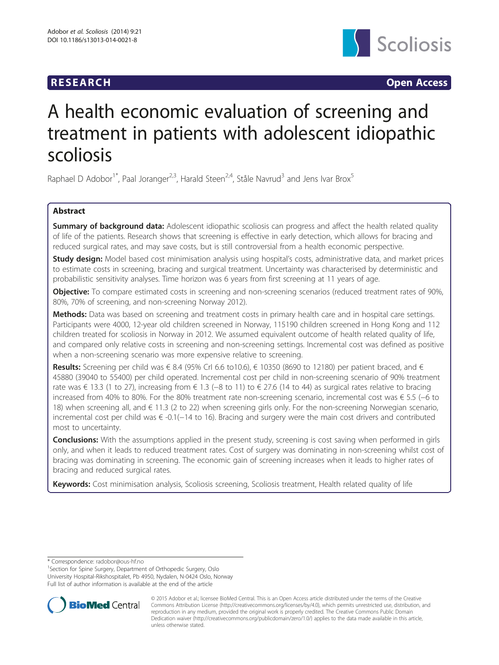## **RESEARCH RESEARCH CONSUMING ACCESS**



# A health economic evaluation of screening and treatment in patients with adolescent idiopathic scoliosis

Raphael D Adobor<sup>1\*</sup>, Paal Joranger<sup>2,3</sup>, Harald Steen<sup>2,4</sup>, Ståle Navrud<sup>3</sup> and Jens Ivar Brox<sup>5</sup>

## Abstract

Summary of background data: Adolescent idiopathic scoliosis can progress and affect the health related quality of life of the patients. Research shows that screening is effective in early detection, which allows for bracing and reduced surgical rates, and may save costs, but is still controversial from a health economic perspective.

Study design: Model based cost minimisation analysis using hospital's costs, administrative data, and market prices to estimate costs in screening, bracing and surgical treatment. Uncertainty was characterised by deterministic and probabilistic sensitivity analyses. Time horizon was 6 years from first screening at 11 years of age.

Objective: To compare estimated costs in screening and non-screening scenarios (reduced treatment rates of 90%, 80%, 70% of screening, and non-screening Norway 2012).

Methods: Data was based on screening and treatment costs in primary health care and in hospital care settings. Participants were 4000, 12-year old children screened in Norway, 115190 children screened in Hong Kong and 112 children treated for scoliosis in Norway in 2012. We assumed equivalent outcome of health related quality of life, and compared only relative costs in screening and non-screening settings. Incremental cost was defined as positive when a non-screening scenario was more expensive relative to screening.

Results: Screening per child was € 8.4 (95% CrI 6.6 to10.6), € 10350 (8690 to 12180) per patient braced, and € 45880 (39040 to 55400) per child operated. Incremental cost per child in non-screening scenario of 90% treatment rate was € 13.3 (1 to 27), increasing from € 1.3 (−8 to 11) to € 27.6 (14 to 44) as surgical rates relative to bracing increased from 40% to 80%. For the 80% treatment rate non-screening scenario, incremental cost was € 5.5 (−6 to 18) when screening all, and € 11.3 (2 to 22) when screening girls only. For the non-screening Norwegian scenario, incremental cost per child was € -0.1(−14 to 16). Bracing and surgery were the main cost drivers and contributed most to uncertainty.

**Conclusions:** With the assumptions applied in the present study, screening is cost saving when performed in girls only, and when it leads to reduced treatment rates. Cost of surgery was dominating in non-screening whilst cost of bracing was dominating in screening. The economic gain of screening increases when it leads to higher rates of bracing and reduced surgical rates.

Keywords: Cost minimisation analysis, Scoliosis screening, Scoliosis treatment, Health related quality of life

\* Correspondence: [radobor@ous-hf.no](mailto:radobor@ous-hf.no) <sup>1</sup>

<sup>1</sup> Section for Spine Surgery, Department of Orthopedic Surgery, Oslo University Hospital-Rikshospitalet, Pb 4950, Nydalen, N-0424 Oslo, Norway Full list of author information is available at the end of the article



<sup>© 2015</sup> Adobor et al.; licensee BioMed Central. This is an Open Access article distributed under the terms of the Creative Commons Attribution License [\(http://creativecommons.org/licenses/by/4.0\)](http://creativecommons.org/licenses/by/4.0), which permits unrestricted use, distribution, and reproduction in any medium, provided the original work is properly credited. The Creative Commons Public Domain Dedication waiver [\(http://creativecommons.org/publicdomain/zero/1.0/](http://creativecommons.org/publicdomain/zero/1.0/)) applies to the data made available in this article, unless otherwise stated.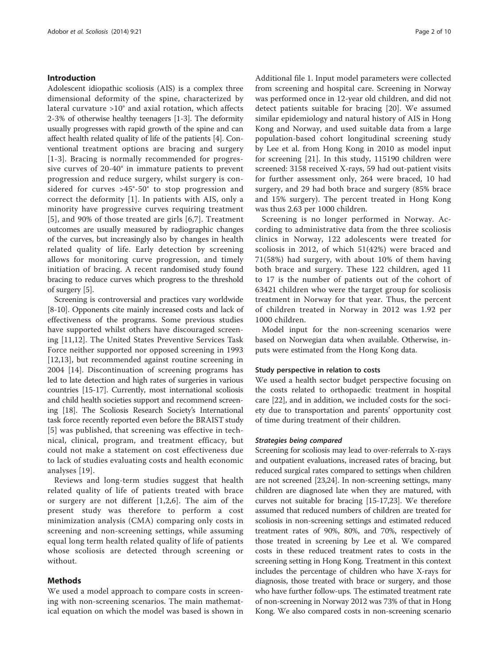## Introduction

Adolescent idiopathic scoliosis (AIS) is a complex three dimensional deformity of the spine, characterized by lateral curvature >10° and axial rotation, which affects 2-3% of otherwise healthy teenagers [[1-3\]](#page-8-0). The deformity usually progresses with rapid growth of the spine and can affect health related quality of life of the patients [\[4](#page-8-0)]. Conventional treatment options are bracing and surgery [[1](#page-8-0)-[3](#page-8-0)]. Bracing is normally recommended for progressive curves of 20-40° in immature patients to prevent progression and reduce surgery, whilst surgery is considered for curves >45°-50° to stop progression and correct the deformity [[1\]](#page-8-0). In patients with AIS, only a minority have progressive curves requiring treatment [[5](#page-8-0)], and 90% of those treated are girls [\[6](#page-8-0),[7\]](#page-8-0). Treatment outcomes are usually measured by radiographic changes of the curves, but increasingly also by changes in health related quality of life. Early detection by screening allows for monitoring curve progression, and timely initiation of bracing. A recent randomised study found bracing to reduce curves which progress to the threshold of surgery [\[5](#page-8-0)].

Screening is controversial and practices vary worldwide [[8-10\]](#page-8-0). Opponents cite mainly increased costs and lack of effectiveness of the programs. Some previous studies have supported whilst others have discouraged screening [\[11](#page-9-0),[12\]](#page-9-0). The United States Preventive Services Task Force neither supported nor opposed screening in 1993 [[12,13](#page-9-0)], but recommended against routine screening in 2004 [\[14\]](#page-9-0). Discontinuation of screening programs has led to late detection and high rates of surgeries in various countries [\[15-17\]](#page-9-0). Currently, most international scoliosis and child health societies support and recommend screening [[18](#page-9-0)]. The Scoliosis Research Society's International task force recently reported even before the BRAIST study [[5](#page-8-0)] was published, that screening was effective in technical, clinical, program, and treatment efficacy, but could not make a statement on cost effectiveness due to lack of studies evaluating costs and health economic analyses [\[19\]](#page-9-0).

Reviews and long-term studies suggest that health related quality of life of patients treated with brace or surgery are not different [[1](#page-8-0),[2,6](#page-8-0)]. The aim of the present study was therefore to perform a cost minimization analysis (CMA) comparing only costs in screening and non-screening settings, while assuming equal long term health related quality of life of patients whose scoliosis are detected through screening or without.

## Methods

We used a model approach to compare costs in screening with non-screening scenarios. The main mathematical equation on which the model was based is shown in Additional file [1.](#page-8-0) Input model parameters were collected from screening and hospital care. Screening in Norway was performed once in 12-year old children, and did not detect patients suitable for bracing [[20\]](#page-9-0). We assumed similar epidemiology and natural history of AIS in Hong Kong and Norway, and used suitable data from a large population-based cohort longitudinal screening study by Lee et al. from Hong Kong in 2010 as model input for screening [\[21](#page-9-0)]. In this study, 115190 children were screened: 3158 received X-rays, 59 had out-patient visits for further assessment only, 264 were braced, 10 had surgery, and 29 had both brace and surgery (85% brace and 15% surgery). The percent treated in Hong Kong was thus 2.63 per 1000 children.

Screening is no longer performed in Norway. According to administrative data from the three scoliosis clinics in Norway, 122 adolescents were treated for scoliosis in 2012, of which 51(42%) were braced and 71(58%) had surgery, with about 10% of them having both brace and surgery. These 122 children, aged 11 to 17 is the number of patients out of the cohort of 63421 children who were the target group for scoliosis treatment in Norway for that year. Thus, the percent of children treated in Norway in 2012 was 1.92 per 1000 children.

Model input for the non-screening scenarios were based on Norwegian data when available. Otherwise, inputs were estimated from the Hong Kong data.

## Study perspective in relation to costs

We used a health sector budget perspective focusing on the costs related to orthopaedic treatment in hospital care [[22](#page-9-0)], and in addition, we included costs for the society due to transportation and parents' opportunity cost of time during treatment of their children.

## Strategies being compared

Screening for scoliosis may lead to over-referrals to X-rays and outpatient evaluations, increased rates of bracing, but reduced surgical rates compared to settings when children are not screened [\[23,24\]](#page-9-0). In non-screening settings, many children are diagnosed late when they are matured, with curves not suitable for bracing [\[15-17,23\]](#page-9-0). We therefore assumed that reduced numbers of children are treated for scoliosis in non-screening settings and estimated reduced treatment rates of 90%, 80%, and 70%, respectively of those treated in screening by Lee et al. We compared costs in these reduced treatment rates to costs in the screening setting in Hong Kong. Treatment in this context includes the percentage of children who have X-rays for diagnosis, those treated with brace or surgery, and those who have further follow-ups. The estimated treatment rate of non-screening in Norway 2012 was 73% of that in Hong Kong. We also compared costs in non-screening scenario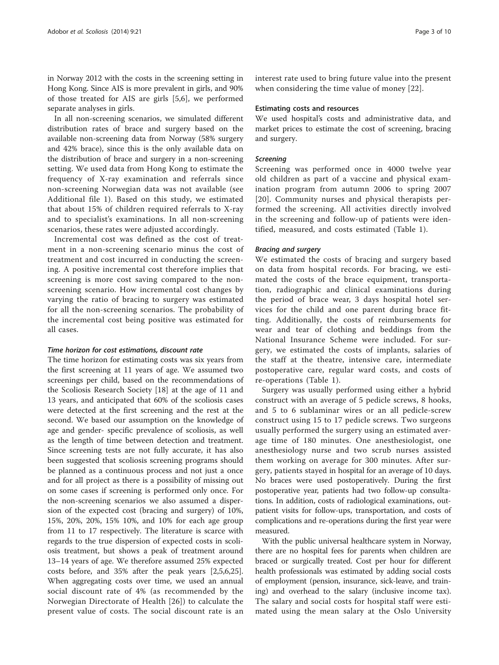in Norway 2012 with the costs in the screening setting in Hong Kong. Since AIS is more prevalent in girls, and 90% of those treated for AIS are girls [[5,6](#page-8-0)], we performed separate analyses in girls.

In all non-screening scenarios, we simulated different distribution rates of brace and surgery based on the available non-screening data from Norway (58% surgery and 42% brace), since this is the only available data on the distribution of brace and surgery in a non-screening setting. We used data from Hong Kong to estimate the frequency of X-ray examination and referrals since non-screening Norwegian data was not available (see Additional file [1\)](#page-8-0). Based on this study, we estimated that about 15% of children required referrals to X-ray and to specialist's examinations. In all non-screening scenarios, these rates were adjusted accordingly.

Incremental cost was defined as the cost of treatment in a non-screening scenario minus the cost of treatment and cost incurred in conducting the screening. A positive incremental cost therefore implies that screening is more cost saving compared to the nonscreening scenario. How incremental cost changes by varying the ratio of bracing to surgery was estimated for all the non-screening scenarios. The probability of the incremental cost being positive was estimated for all cases.

## Time horizon for cost estimations, discount rate

The time horizon for estimating costs was six years from the first screening at 11 years of age. We assumed two screenings per child, based on the recommendations of the Scoliosis Research Society [\[18](#page-9-0)] at the age of 11 and 13 years, and anticipated that 60% of the scoliosis cases were detected at the first screening and the rest at the second. We based our assumption on the knowledge of age and gender- specific prevalence of scoliosis, as well as the length of time between detection and treatment. Since screening tests are not fully accurate, it has also been suggested that scoliosis screening programs should be planned as a continuous process and not just a once and for all project as there is a possibility of missing out on some cases if screening is performed only once. For the non-screening scenarios we also assumed a dispersion of the expected cost (bracing and surgery) of 10%, 15%, 20%, 20%, 15% 10%, and 10% for each age group from 11 to 17 respectively. The literature is scarce with regards to the true dispersion of expected costs in scoliosis treatment, but shows a peak of treatment around 13–14 years of age. We therefore assumed 25% expected costs before, and 35% after the peak years [\[2,5,6](#page-8-0)[,25](#page-9-0)]. When aggregating costs over time, we used an annual social discount rate of 4% (as recommended by the Norwegian Directorate of Health [[26\]](#page-9-0)) to calculate the present value of costs. The social discount rate is an

interest rate used to bring future value into the present when considering the time value of money [\[22](#page-9-0)].

#### Estimating costs and resources

We used hospital's costs and administrative data, and market prices to estimate the cost of screening, bracing and surgery.

## **Screening**

Screening was performed once in 4000 twelve year old children as part of a vaccine and physical examination program from autumn 2006 to spring 2007 [[20](#page-9-0)]. Community nurses and physical therapists performed the screening. All activities directly involved in the screening and follow-up of patients were identified, measured, and costs estimated (Table [1](#page-3-0)).

#### Bracing and surgery

We estimated the costs of bracing and surgery based on data from hospital records. For bracing, we estimated the costs of the brace equipment, transportation, radiographic and clinical examinations during the period of brace wear, 3 days hospital hotel services for the child and one parent during brace fitting. Additionally, the costs of reimbursements for wear and tear of clothing and beddings from the National Insurance Scheme were included. For surgery, we estimated the costs of implants, salaries of the staff at the theatre, intensive care, intermediate postoperative care, regular ward costs, and costs of re-operations (Table [1](#page-3-0)).

Surgery was usually performed using either a hybrid construct with an average of 5 pedicle screws, 8 hooks, and 5 to 6 sublaminar wires or an all pedicle-screw construct using 15 to 17 pedicle screws. Two surgeons usually performed the surgery using an estimated average time of 180 minutes. One anesthesiologist, one anesthesiology nurse and two scrub nurses assisted them working on average for 300 minutes. After surgery, patients stayed in hospital for an average of 10 days. No braces were used postoperatively. During the first postoperative year, patients had two follow-up consultations. In addition, costs of radiological examinations, outpatient visits for follow-ups, transportation, and costs of complications and re-operations during the first year were measured.

With the public universal healthcare system in Norway, there are no hospital fees for parents when children are braced or surgically treated. Cost per hour for different health professionals was estimated by adding social costs of employment (pension, insurance, sick-leave, and training) and overhead to the salary (inclusive income tax). The salary and social costs for hospital staff were estimated using the mean salary at the Oslo University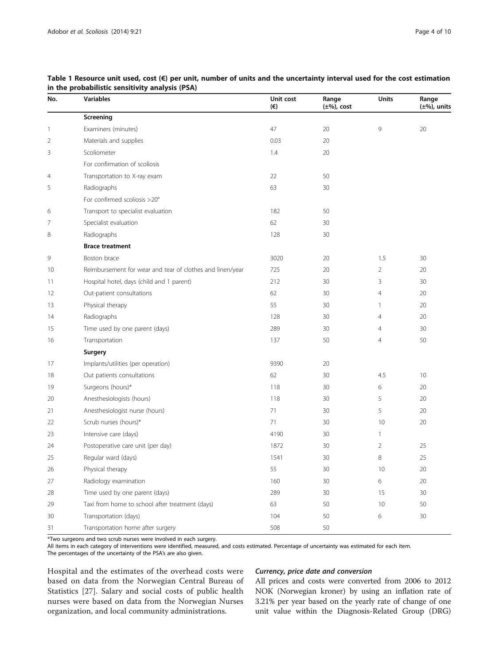| No.            | <b>Variables</b>                                          | Unit cost<br>(€) | Range<br>$(\pm\%)$ , cost | <b>Units</b>   | Range<br>$(\pm\%)$ , units |
|----------------|-----------------------------------------------------------|------------------|---------------------------|----------------|----------------------------|
|                | Screening                                                 |                  |                           |                |                            |
| 1              | Examiners (minutes)                                       | 47               | 20                        | 9              | 20                         |
| $\overline{2}$ | Materials and supplies                                    | 0.03             | 20                        |                |                            |
| 3              | Scoliometer                                               | 1.4              | 20                        |                |                            |
|                | For confirmation of scoliosis                             |                  |                           |                |                            |
| 4              | Transportation to X-ray exam                              | 22               | 50                        |                |                            |
| 5              | Radiographs                                               | 63               | 30                        |                |                            |
|                | For confirmed scoliosis >20°                              |                  |                           |                |                            |
| 6              | Transport to specialist evaluation                        | 182              | 50                        |                |                            |
| 7              | Specialist evaluation                                     | 62               | 30                        |                |                            |
| 8              | Radiographs                                               | 128              | 30                        |                |                            |
|                | <b>Brace treatment</b>                                    |                  |                           |                |                            |
| 9              | Boston brace                                              | 3020             | 20                        | 1.5            | 30                         |
| 10             | Reimbursement for wear and tear of clothes and linen/year | 725              | 20                        | $\overline{2}$ | 20                         |
| 11             | Hospital hotel, days (child and 1 parent)                 | 212              | 30                        | 3              | 30                         |
| 12             | Out-patient consultations                                 | 62               | 30                        | $\overline{4}$ | 20                         |
| 13             | Physical therapy                                          | 55               | 30                        | 1              | 20                         |
| 14             | Radiographs                                               | 128              | 30                        | $\overline{4}$ | 20                         |
| 15             | Time used by one parent (days)                            | 289              | 30                        | $\overline{4}$ | 30                         |
| 16             | Transportation                                            | 137              | 50                        | $\overline{4}$ | 50                         |
|                | Surgery                                                   |                  |                           |                |                            |
| 17             | Implants/utilities (per operation)                        | 9390             | 20                        |                |                            |
| 18             | Out patients consultations                                | 62               | 30                        | 4.5            | 10                         |
| 19             | Surgeons (hours)*                                         | 118              | 30                        | 6              | 20                         |
| 20             | Anesthesiologists (hours)                                 | 118              | 30                        | 5              | 20                         |
| 21             | Anesthesiologist nurse (hours)                            | 71               | 30                        | 5              | 20                         |
| 22             | Scrub nurses (hours)*                                     | 71               | 30                        | 10             | 20                         |
| 23             | Intensive care (days)                                     | 4190             | 30                        | $\mathbf{1}$   |                            |
| 24             | Postoperative care unit (per day)                         | 1872             | 30                        | $\overline{2}$ | 25                         |
| 25             | Regular ward (days)                                       | 1541             | 30                        | 8              | 25                         |
| 26             | Physical therapy                                          | 55               | 30                        | 10             | 20                         |
| 27             | Radiology examination                                     | 160              | 30                        | 6              | 20                         |
| 28             | Time used by one parent (days)                            | 289              | 30                        | 15             | 30                         |
| 29             | Taxi from home to school after treatment (days)           | 63               | 50                        | 10             | 50                         |
| 30             | Transportation (days)                                     | 104              | 50                        | 6              | 30                         |
| 31             | Transportation home after surgery                         | 508              | 50                        |                |                            |

<span id="page-3-0"></span>Table 1 Resource unit used, cost (€) per unit, number of units and the uncertainty interval used for the cost estimation in the probabilistic sensitivity analysis (PSA)

\*Two surgeons and two scrub nurses were involved in each surgery.

All items in each category of interventions were identified, measured, and costs estimated. Percentage of uncertainty was estimated for each item.

The percentages of the uncertainty of the PSA's are also given.

Hospital and the estimates of the overhead costs were based on data from the Norwegian Central Bureau of Statistics [\[27](#page-9-0)]. Salary and social costs of public health nurses were based on data from the Norwegian Nurses organization, and local community administrations.

## Currency, price date and conversion

All prices and costs were converted from 2006 to 2012 NOK (Norwegian kroner) by using an inflation rate of 3.21% per year based on the yearly rate of change of one unit value within the Diagnosis-Related Group (DRG)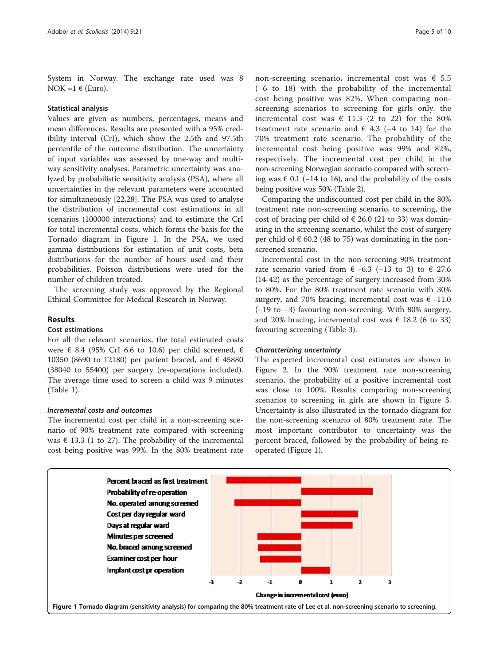System in Norway. The exchange rate used was 8 NOK =1 $\in$  (Euro).

## Statistical analysis

Values are given as numbers, percentages, means and mean differences. Results are presented with a 95% credibility interval (CrI), which show the 2.5th and 97.5th percentile of the outcome distribution. The uncertainty of input variables was assessed by one-way and multiway sensitivity analyses. Parametric uncertainty was analyzed by probabilistic sensitivity analysis (PSA), where all uncertainties in the relevant parameters were accounted for simultaneously [[22,28\]](#page-9-0). The PSA was used to analyse the distribution of incremental cost estimations in all scenarios (100000 interactions) and to estimate the CrI for total incremental costs, which forms the basis for the Tornado diagram in Figure 1. In the PSA, we used gamma distributions for estimation of unit costs, beta distributions for the number of hours used and their probabilities. Poisson distributions were used for the number of children treated.

The screening study was approved by the Regional Ethical Committee for Medical Research in Norway.

## Results

## Cost estimations

For all the relevant scenarios, the total estimated costs were  $\in$  8.4 (95% CrI 6.6 to 10.6) per child screened,  $\in$ 10350 (8690 to 12180) per patient braced, and € 45880 (38040 to 55400) per surgery (re-operations included). The average time used to screen a child was 9 minutes (Table [1\)](#page-3-0).

## Incremental costs and outcomes

The incremental cost per child in a non-screening scenario of 90% treatment rate compared with screening was  $\epsilon$  13.3 (1 to 27). The probability of the incremental cost being positive was 99%. In the 80% treatment rate

non-screening scenario, incremental cost was  $\epsilon$  5.5 (−6 to 18) with the probability of the incremental cost being positive was 82%. When comparing nonscreening scenarios to screening for girls only: the incremental cost was  $\epsilon$  11.3 (2 to 22) for the 80% treatment rate scenario and € 4.3 (−4 to 14) for the 70% treatment rate scenario. The probability of the incremental cost being positive was 99% and 82%, respectively. The incremental cost per child in the non-screening Norwegian scenario compared with screening was  $∈$  0.1 (-14 to 16), and the probability of the costs being positive was 50% (Table [2](#page-5-0)).

Comparing the undiscounted cost per child in the 80% treatment rate non-screening scenario, to screening, the cost of bracing per child of  $\epsilon$  26.0 (21 to 33) was dominating in the screening scenario, whilst the cost of surgery per child of  $\epsilon$  60.2 (48 to 75) was dominating in the nonscreened scenario.

Incremental cost in the non-screening 90% treatment rate scenario varied from  $\epsilon$  -6.3 (-13 to 3) to  $\epsilon$  27.6 (14-42) as the percentage of surgery increased from 30% to 80%. For the 80% treatment rate scenario with 30% surgery, and 70% bracing, incremental cost was  $\epsilon$  -11.0 (−19 to −3) favouring non-screening. With 80% surgery, and 20% bracing, incremental cost was  $\epsilon$  18.2 (6 to 33) favouring screening (Table [3](#page-5-0)).

## Characterizing uncertainty

The expected incremental cost estimates are shown in Figure [2](#page-6-0). In the 90% treatment rate non-screening scenario, the probability of a positive incremental cost was close to 100%. Results comparing non-screening scenarios to screening in girls are shown in Figure [3](#page-6-0). Uncertainty is also illustrated in the tornado diagram for the non-screening scenario of 80% treatment rate. The most important contributor to uncertainty was the percent braced, followed by the probability of being reoperated (Figure 1).

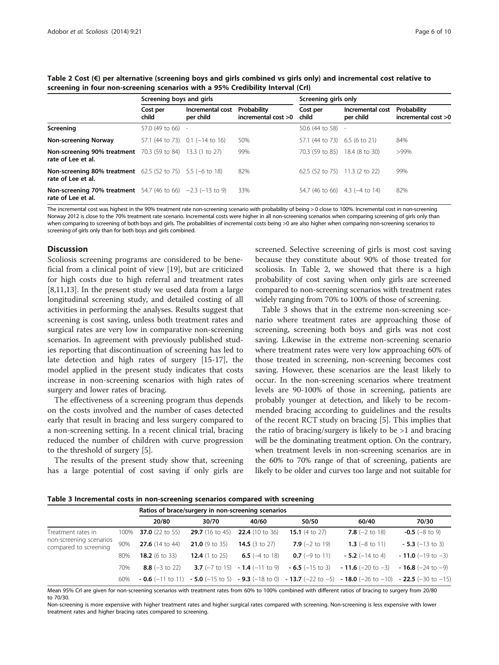|                                                                                            | Screening boys and girls |                                                       |                                    | Screening girls only           |                               |                                    |  |
|--------------------------------------------------------------------------------------------|--------------------------|-------------------------------------------------------|------------------------------------|--------------------------------|-------------------------------|------------------------------------|--|
|                                                                                            | Cost per<br>child        | Incremental cost<br>per child                         | Probability<br>incremental cost >0 | Cost per<br>child              | Incremental cost<br>per child | Probability<br>incremental cost >0 |  |
| Screening                                                                                  | 57.0 (49 to 66) -        |                                                       |                                    | 50.6 (44 to 58)                |                               |                                    |  |
| Non-screening Norway                                                                       |                          | 57.1 $(44 \text{ to } 73)$ 0.1 $(-14 \text{ to } 16)$ | 50%                                | 57.1 (44 to 73) 6.5 (6 to 21)  |                               | 84%                                |  |
| <b>Non-screening 90% treatment</b> 70.3 (59 to 84) 13.3 (1 to 27)<br>rate of Lee et al.    |                          |                                                       | 99%                                | 70.3 (59 to 85)                | 18.4 (8 to 30)                | >99%                               |  |
| <b>Non-screening 80% treatment</b> 62.5 (52 to 75) 5.5 (-6 to 18)<br>rate of Lee et al.    |                          |                                                       | 82%                                | 62.5 (52 to 75) 11.3 (2 to 22) |                               | 99%                                |  |
| <b>Non-screening 70% treatment</b> 54.7 (46 to 66) $-2.3$ (-13 to 9)<br>rate of Lee et al. |                          |                                                       | 33%                                | 54.7 (46 to 66) 4.3 (-4 to 14) |                               | 82%                                |  |

<span id="page-5-0"></span>Table 2 Cost (€) per alternative (screening boys and girls combined vs girls only) and incremental cost relative to screening in four non-screening scenarios with a 95% Credibility Interval (CrI)

The incremental cost was highest in the 90% treatment rate non-screening scenario with probability of being > 0 close to 100%. Incremental cost in non-screening Norway 2012 is close to the 70% treatment rate scenario. Incremental costs were higher in all non-screening scenarios when comparing screening of girls only than when comparing to screening of both boys and girls. The probabilities of incremental costs being >0 are also higher when comparing non-screening scenarios to screening of girls only than for both boys and girls combined.

## Discussion

Scoliosis screening programs are considered to be beneficial from a clinical point of view [[19](#page-9-0)], but are criticized for high costs due to high referral and treatment rates [[8,](#page-8-0)[11,13\]](#page-9-0). In the present study we used data from a large longitudinal screening study, and detailed costing of all activities in performing the analyses. Results suggest that screening is cost saving, unless both treatment rates and surgical rates are very low in comparative non-screening scenarios. In agreement with previously published studies reporting that discontinuation of screening has led to late detection and high rates of surgery [\[15](#page-9-0)-[17\]](#page-9-0), the model applied in the present study indicates that costs increase in non-screening scenarios with high rates of surgery and lower rates of bracing.

The effectiveness of a screening program thus depends on the costs involved and the number of cases detected early that result in bracing and less surgery compared to a non-screening setting. In a recent clinical trial, bracing reduced the number of children with curve progression to the threshold of surgery [\[5](#page-8-0)].

The results of the present study show that, screening has a large potential of cost saving if only girls are screened. Selective screening of girls is most cost saving because they constitute about 90% of those treated for scoliosis. In Table 2, we showed that there is a high probability of cost saving when only girls are screened compared to non-screening scenarios with treatment rates widely ranging from 70% to 100% of those of screening.

Table 3 shows that in the extreme non-screening scenario where treatment rates are approaching those of screening, screening both boys and girls was not cost saving. Likewise in the extreme non-screening scenario where treatment rates were very low approaching 60% of those treated in screening, non-screening becomes cost saving. However, these scenarios are the least likely to occur. In the non-screening scenarios where treatment levels are 90-100% of those in screening, patients are probably younger at detection, and likely to be recommended bracing according to guidelines and the results of the recent RCT study on bracing [\[5](#page-8-0)]. This implies that the ratio of bracing/surgery is likely to be >1 and bracing will be the dominating treatment option. On the contrary, when treatment levels in non-screening scenarios are in the 60% to 70% range of that of screening, patients are likely to be older and curves too large and not suitable for

Table 3 Incremental costs in non-screening scenarios compared with screening

|                                                  |      | Ratios of brace/surgery in non-screening scenarios |                                  |                                               |                                                                       |                                                                                                                |                     |
|--------------------------------------------------|------|----------------------------------------------------|----------------------------------|-----------------------------------------------|-----------------------------------------------------------------------|----------------------------------------------------------------------------------------------------------------|---------------------|
|                                                  |      | 20/80                                              | 30/70                            | 40/60                                         | 50/50                                                                 | 60/40                                                                                                          | 70/30               |
| Treatment rates in                               | 100% | <b>37.0</b> (22 to 55)                             |                                  | <b>29.7</b> (16 to 45) <b>22.4</b> (10 to 36) | <b>15.1</b> (4 to 27)                                                 | <b>7.8</b> $(-2 \text{ to } 18)$                                                                               | $-0.5$ ( $-8$ to 9) |
| non-screening scenarios<br>compared to screening | 90%  | 27.6 $(14 \text{ to } 44)$                         | <b>21.0</b> $(9 \text{ to } 35)$ | <b>14.5</b> (3 to 27)                         | 7.9 $(-2 \text{ to } 19)$                                             | 1.3 $(-8 \text{ to } 11)$                                                                                      | $-5.3$ (-13 to 3)   |
|                                                  | 80%  | <b>18.2</b> (6 to 33)                              | <b>12.4</b> $(1 to 25)$          | 6.5 $(-4 \text{ to } 18)$                     | <b>0.7</b> ( $-9$ to 11)                                              | $-5.2$ (-14 to 4)                                                                                              | $-11.0$ (-19 to -3) |
|                                                  | 70%  | <b>8.8</b> $(-3 \text{ to } 22)$                   |                                  |                                               | <b>3.7</b> (-7 to 15) - <b>1.4</b> (-11 to 9) - <b>6.5</b> (-15 to 3) | $-11.6$ (-20 to -3)                                                                                            | $-16.8$ (-24 to -9) |
|                                                  | 60%  |                                                    |                                  |                                               |                                                                       | - 0.6 (-11 to 11) - 5.0 (-15 to 5) - 9.3 (-18 to 0) - 13.7 (-22 to -5) - 18.0 (-26 to -10) - 22.5 (-30 to -15) |                     |

Mean 95% Crl are given for non-screening scenarios with treatment rates from 60% to 100% combined with different ratios of bracing to surgery from 20/80 to 70/30.

Non-screening is more expensive with higher treatment rates and higher surgical rates compared with screening. Non-screening is less expensive with lower treatment rates and higher bracing rates compared to screening.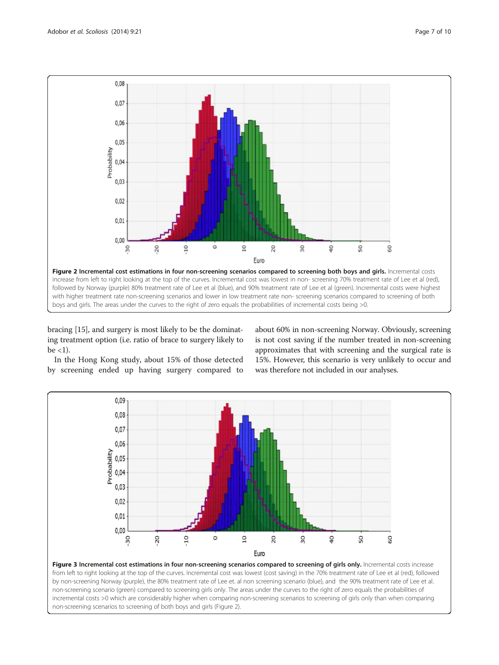<span id="page-6-0"></span>

bracing [\[15\]](#page-9-0), and surgery is most likely to be the dominating treatment option (i.e. ratio of brace to surgery likely to be  $\langle 1 \rangle$ .

In the Hong Kong study, about 15% of those detected by screening ended up having surgery compared to

about 60% in non-screening Norway. Obviously, screening is not cost saving if the number treated in non-screening approximates that with screening and the surgical rate is 15%. However, this scenario is very unlikely to occur and was therefore not included in our analyses.



by non-screening Norway (purple), the 80% treatment rate of Lee et. al non screening scenario (blue), and the 90% treatment rate of Lee et al. non-screening scenario (green) compared to screening girls only. The areas under the curves to the right of zero equals the probabilities of incremental costs >0 which are considerably higher when comparing non-screening scenarios to screening of girls only than when comparing non-screening scenarios to screening of both boys and girls (Figure 2).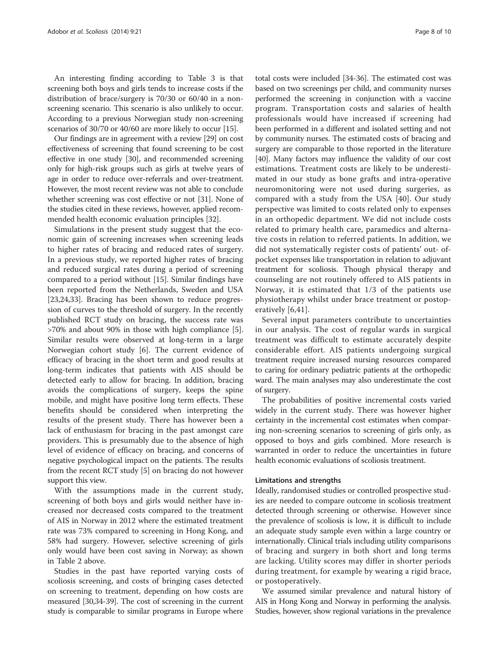An interesting finding according to Table [3](#page-5-0) is that screening both boys and girls tends to increase costs if the distribution of brace/surgery is 70/30 or 60/40 in a nonscreening scenario. This scenario is also unlikely to occur. According to a previous Norwegian study non-screening scenarios of 30/70 or 40/60 are more likely to occur [[15](#page-9-0)].

Our findings are in agreement with a review [\[29\]](#page-9-0) on cost effectiveness of screening that found screening to be cost effective in one study [[30\]](#page-9-0), and recommended screening only for high-risk groups such as girls at twelve years of age in order to reduce over-referrals and over-treatment. However, the most recent review was not able to conclude whether screening was cost effective or not [\[31\]](#page-9-0). None of the studies cited in these reviews, however, applied recommended health economic evaluation principles [[32](#page-9-0)].

Simulations in the present study suggest that the economic gain of screening increases when screening leads to higher rates of bracing and reduced rates of surgery. In a previous study, we reported higher rates of bracing and reduced surgical rates during a period of screening compared to a period without [\[15](#page-9-0)]. Similar findings have been reported from the Netherlands, Sweden and USA [[23,24,33\]](#page-9-0). Bracing has been shown to reduce progression of curves to the threshold of surgery. In the recently published RCT study on bracing, the success rate was >70% and about 90% in those with high compliance [\[5](#page-8-0)]. Similar results were observed at long-term in a large Norwegian cohort study [\[6](#page-8-0)]. The current evidence of efficacy of bracing in the short term and good results at long-term indicates that patients with AIS should be detected early to allow for bracing. In addition, bracing avoids the complications of surgery, keeps the spine mobile, and might have positive long term effects. These benefits should be considered when interpreting the results of the present study. There has however been a lack of enthusiasm for bracing in the past amongst care providers. This is presumably due to the absence of high level of evidence of efficacy on bracing, and concerns of negative psychological impact on the patients. The results from the recent RCT study [\[5\]](#page-8-0) on bracing do not however support this view.

With the assumptions made in the current study, screening of both boys and girls would neither have increased nor decreased costs compared to the treatment of AIS in Norway in 2012 where the estimated treatment rate was 73% compared to screening in Hong Kong, and 58% had surgery. However, selective screening of girls only would have been cost saving in Norway; as shown in Table [2](#page-5-0) above.

Studies in the past have reported varying costs of scoliosis screening, and costs of bringing cases detected on screening to treatment, depending on how costs are measured [[30,34-39](#page-9-0)]. The cost of screening in the current study is comparable to similar programs in Europe where

total costs were included [\[34-36\]](#page-9-0). The estimated cost was based on two screenings per child, and community nurses performed the screening in conjunction with a vaccine program. Transportation costs and salaries of health professionals would have increased if screening had been performed in a different and isolated setting and not by community nurses. The estimated costs of bracing and surgery are comparable to those reported in the literature [[40](#page-9-0)]. Many factors may influence the validity of our cost estimations. Treatment costs are likely to be underestimated in our study as bone grafts and intra-operative neuromonitoring were not used during surgeries, as compared with a study from the USA [[40\]](#page-9-0). Our study perspective was limited to costs related only to expenses in an orthopedic department. We did not include costs related to primary health care, paramedics and alternative costs in relation to referred patients. In addition, we did not systematically register costs of patients' out- ofpocket expenses like transportation in relation to adjuvant treatment for scoliosis. Though physical therapy and counseling are not routinely offered to AIS patients in Norway, it is estimated that 1/3 of the patients use physiotherapy whilst under brace treatment or postoperatively [[6,](#page-8-0)[41](#page-9-0)].

Several input parameters contribute to uncertainties in our analysis. The cost of regular wards in surgical treatment was difficult to estimate accurately despite considerable effort. AIS patients undergoing surgical treatment require increased nursing resources compared to caring for ordinary pediatric patients at the orthopedic ward. The main analyses may also underestimate the cost of surgery.

The probabilities of positive incremental costs varied widely in the current study. There was however higher certainty in the incremental cost estimates when comparing non-screening scenarios to screening of girls only, as opposed to boys and girls combined. More research is warranted in order to reduce the uncertainties in future health economic evaluations of scoliosis treatment.

## Limitations and strengths

Ideally, randomised studies or controlled prospective studies are needed to compare outcome in scoliosis treatment detected through screening or otherwise. However since the prevalence of scoliosis is low, it is difficult to include an adequate study sample even within a large country or internationally. Clinical trials including utility comparisons of bracing and surgery in both short and long terms are lacking. Utility scores may differ in shorter periods during treatment, for example by wearing a rigid brace, or postoperatively.

We assumed similar prevalence and natural history of AIS in Hong Kong and Norway in performing the analysis. Studies, however, show regional variations in the prevalence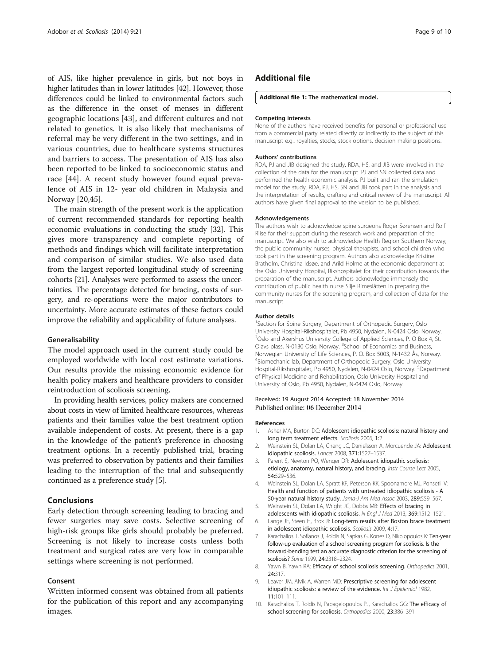<span id="page-8-0"></span>of AIS, like higher prevalence in girls, but not boys in higher latitudes than in lower latitudes [\[42\]](#page-9-0). However, those differences could be linked to environmental factors such as the difference in the onset of menses in different geographic locations [[43](#page-9-0)], and different cultures and not related to genetics. It is also likely that mechanisms of referral may be very different in the two settings, and in various countries, due to healthcare systems structures and barriers to access. The presentation of AIS has also been reported to be linked to socioeconomic status and race [\[44](#page-9-0)]. A recent study however found equal prevalence of AIS in 12- year old children in Malaysia and Norway [[20,45](#page-9-0)].

The main strength of the present work is the application of current recommended standards for reporting health economic evaluations in conducting the study [\[32\]](#page-9-0). This gives more transparency and complete reporting of methods and findings which will facilitate interpretation and comparison of similar studies. We also used data from the largest reported longitudinal study of screening cohorts [\[21\]](#page-9-0). Analyses were performed to assess the uncertainties. The percentage detected for bracing, costs of surgery, and re-operations were the major contributors to uncertainty. More accurate estimates of these factors could improve the reliability and applicability of future analyses.

## Generalisability

The model approach used in the current study could be employed worldwide with local cost estimate variations. Our results provide the missing economic evidence for health policy makers and healthcare providers to consider reintroduction of scoliosis screening.

In providing health services, policy makers are concerned about costs in view of limited healthcare resources, whereas patients and their families value the best treatment option available independent of costs. At present, there is a gap in the knowledge of the patient's preference in choosing treatment options. In a recently published trial, bracing was preferred to observation by patients and their families leading to the interruption of the trial and subsequently continued as a preference study [5].

## Conclusions

Early detection through screening leading to bracing and fewer surgeries may save costs. Selective screening of high-risk groups like girls should probably be preferred. Screening is not likely to increase costs unless both treatment and surgical rates are very low in comparable settings where screening is not performed.

## Consent

Written informed consent was obtained from all patients for the publication of this report and any accompanying images.

## Additional file

#### [Additional file 1:](http://www.scoliosisjournal.com/content/supplementary/s13013-014-0021-8-s1.pdf) The mathematical model.

#### Competing interests

None of the authors have received benefits for personal or professional use from a commercial party related directly or indirectly to the subject of this manuscript e.g., royalties, stocks, stock options, decision making positions.

#### Authors' contributions

RDA, PJ and JIB designed the study. RDA, HS, and JIB were involved in the collection of the data for the manuscript. PJ and SN collected data and performed the health economic analysis. PJ built and ran the simulation model for the study. RDA, PJ, HS, SN and JIB took part in the analysis and the interpretation of results, drafting and critical review of the manuscript. All authors have given final approval to the version to be published.

#### Acknowledgements

The authors wish to acknowledge spine surgeons Roger Sørensen and Rolf Riise for their support during the research work and preparation of the manuscript. We also wish to acknowledge Health Region Southern Norway, the public community nurses, physical therapists, and school children who took part in the screening program. Authors also acknowledge Kristine Bratholm, Christina Idsøe, and Arild Holme at the economic department at the Oslo University Hospital, Rikshospitalet for their contribution towards the preparation of the manuscript. Authors acknowledge immensely the contribution of public health nurse Silje Rimeslåtten in preparing the community nurses for the screening program, and collection of data for the manuscript.

#### Author details

<sup>1</sup>Section for Spine Surgery, Department of Orthopedic Surgery, Oslo University Hospital-Rikshospitalet, Pb 4950, Nydalen, N-0424 Oslo, Norway. <sup>2</sup>Oslo and Akershus University College of Applied Sciences, P. O Box 4, St. Olavs plass, N-0130 Oslo, Norway. <sup>3</sup>School of Economics and Business, Norwegian University of Life Sciences, P. O. Box 5003, N-1432 Ås, Norway. 4 Biomechanic lab, Department of Orthopedic Surgery, Oslo University Hospital-Rikshospitalet, Pb 4950, Nydalen, N-0424 Oslo, Norway. <sup>5</sup>Department of Physical Medicine and Rehabilitation, Oslo University Hospital and University of Oslo, Pb 4950, Nydalen, N-0424 Oslo, Norway.

#### Received: 19 August 2014 Accepted: 18 November 2014 Published online: 06 December 2014

#### References

- 1. Asher MA, Burton DC: Adolescent idiopathic scoliosis: natural history and long term treatment effects. Scoliosis 2006, 1:2.
- 2. Weinstein SL, Dolan LA, Cheng JC, Danielsson A, Morcuende JA: Adolescent idiopathic scoliosis. Lancet 2008, 371:1527–1537.
- 3. Parent S, Newton PO, Wenger DR: Adolescent idiopathic scoliosis: etiology, anatomy, natural history, and bracing. Instr Course Lect 2005, 54:529–536.
- 4. Weinstein SL, Dolan LA, Spratt KF, Peterson KK, Spoonamore MJ, Ponseti IV: Health and function of patients with untreated idiopathic scoliosis - A 50-year natural history study. Jama-J Am Med Assoc 2003, 289:559–567.
- 5. Weinstein SL, Dolan LA, Wright JG, Dobbs MB: Effects of bracing in adolescents with idiopathic scoliosis. N Engl J Med 2013, 369:1512–1521.
- 6. Lange JE, Steen H, Brox JI: Long-term results after Boston brace treatment in adolescent idiopathic scoliosis. Scoliosis 2009, 4:17.
- 7. Karachalios T, Sofianos J, Roidis N, Sapkas G, Korres D, Nikolopoulos K: Ten-year follow-up evaluation of a school screening program for scoliosis. Is the forward-bending test an accurate diagnostic criterion for the screening of scoliosis? Spine 1999, 24:2318–2324.
- 8. Yawn B, Yawn RA: Efficacy of school scoliosis screening. Orthopedics 2001, 24:317.
- 9. Leaver JM, Alvik A, Warren MD: Prescriptive screening for adolescent idiopathic scoliosis: a review of the evidence. Int J Epidemiol 1982, 11:101–111.
- 10. Karachalios T, Roidis N, Papagelopoulos PJ, Karachalios GG: The efficacy of school screening for scoliosis. Orthopedics 2000, 23:386–391.